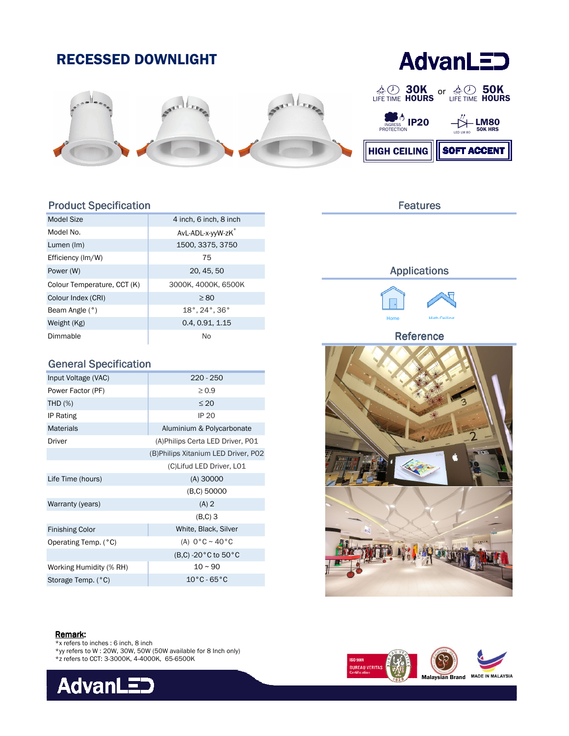

# Product Specification

| Model Size                  | 4 inch, 6 inch, 8 inch                       |  |  |
|-----------------------------|----------------------------------------------|--|--|
| Model No.                   | AvL-ADL-x-yyW-zK                             |  |  |
| Lumen (Im)                  | 1500, 3375, 3750                             |  |  |
| Efficiency (Im/W)           | 75                                           |  |  |
| Power (W)                   | 20, 45, 50                                   |  |  |
| Colour Temperature, CCT (K) | 3000К, 4000К, 6500К                          |  |  |
| Colour Index (CRI)          | $\geq 80$                                    |  |  |
| Beam Angle (°)              | $18^{\circ}$ , 24 $^{\circ}$ , 36 $^{\circ}$ |  |  |
| Weight (Kg)                 | 0.4, 0.91, 1.15                              |  |  |
| Dimmable                    | No                                           |  |  |

# General Specification

| Input Voltage (VAC)     | $220 - 250$                          |  |  |
|-------------------------|--------------------------------------|--|--|
| Power Factor (PF)       | $\geq 0.9$                           |  |  |
| THD $(\%)$              | $\leq 20$                            |  |  |
| IP Rating               | <b>IP 20</b>                         |  |  |
| <b>Materials</b>        | Aluminium & Polycarbonate            |  |  |
| Driver                  | (A) Philips Certa LED Driver, P01    |  |  |
|                         | (B) Philips Xitanium LED Driver, P02 |  |  |
|                         | (C)Lifud LED Driver, L01             |  |  |
| Life Time (hours)       | $(A)$ 30000                          |  |  |
|                         | (B,C) 50000                          |  |  |
| Warranty (years)        | $(A)$ 2                              |  |  |
|                         | $(B,C)$ 3                            |  |  |
| <b>Finishing Color</b>  | White, Black, Silver                 |  |  |
| Operating Temp. (°C)    | (A) $0^{\circ}$ C ~ 40 $^{\circ}$ C  |  |  |
|                         | (B,C) -20 °C to 50 °C                |  |  |
| Working Humidity (% RH) | $10 - 90$                            |  |  |
| Storage Temp. (°C)      | $10^{\circ}$ C - 65 $^{\circ}$ C     |  |  |

# Features

## Applications



#### Reference





- \*x refers to inches : 6 inch, 8 inch
- \*yy refers to W : 20W, 30W, 50W (50W available for 8 Inch only)
- \*z refers to CCT: 3-3000K, 4-4000K, 65-6500K